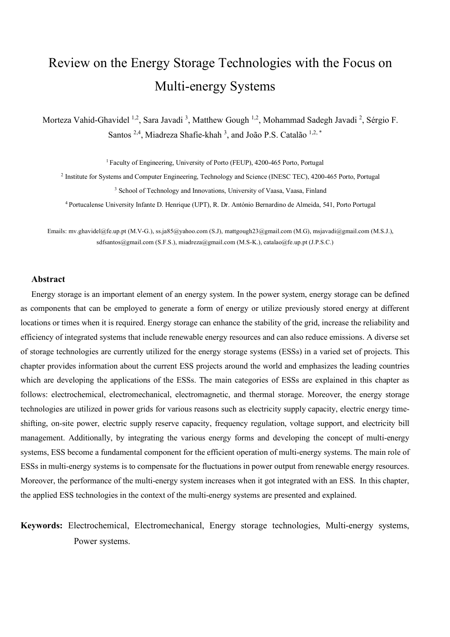# Review on the Energy Storage Technologies with the Focus on Multi-energy Systems

Morteza Vahid-Ghavidel <sup>1,2</sup>, Sara Javadi <sup>3</sup>, Matthew Gough <sup>1,2</sup>, Mohammad Sadegh Javadi <sup>2</sup>, Sérgio F. Santos <sup>2,4</sup>, Miadreza Shafie-khah <sup>3</sup>, and João P.S. Catalão <sup>1,2,\*</sup>

<sup>1</sup> Faculty of Engineering, University of Porto (FEUP), 4200-465 Porto, Portugal

<sup>2</sup> Institute for Systems and Computer Engineering, Technology and Science (INESC TEC), 4200-465 Porto, Portugal <sup>3</sup> School of Technology and Innovations, University of Vaasa, Vaasa, Finland

<sup>4</sup> Portucalense University Infante D. Henrique (UPT), R. Dr. António Bernardino de Almeida, 541, Porto Portugal

Emails: [mv.ghavidel@fe.up.pt](mailto:mv.ghavidel@fe.up.pt) (M.V-G.), [ss.ja85@yahoo.com](mailto:ss.ja85@yahoo.com) (S.J), [mattgough23@gmail.com](mailto:mattgough23@gmail.com) (M.G), [msjavadi@gmail.com](mailto:msjavadi@gmail.com) (M.S.J.), [sdfsantos@gmail.com](mailto:sdfsantos@gmail.com) (S.F.S.), [miadreza@gmail.com](mailto:miadreza@gmail.com) (M.S-K.), [catalao@fe.up.pt](mailto:catalao@fe.up.pt) (J.P.S.C.)

#### **Abstract**

Energy storage is an important element of an energy system. In the power system, energy storage can be defined as components that can be employed to generate a form of energy or utilize previously stored energy at different locations or times when it is required. Energy storage can enhance the stability of the grid, increase the reliability and efficiency of integrated systems that include renewable energy resources and can also reduce emissions. A diverse set of storage technologies are currently utilized for the energy storage systems (ESSs) in a varied set of projects. This chapter provides information about the current ESS projects around the world and emphasizes the leading countries which are developing the applications of the ESSs. The main categories of ESSs are explained in this chapter as follows: electrochemical, electromechanical, electromagnetic, and thermal storage. Moreover, the energy storage technologies are utilized in power grids for various reasons such as electricity supply capacity, electric energy timeshifting, on-site power, electric supply reserve capacity, frequency regulation, voltage support, and electricity bill management. Additionally, by integrating the various energy forms and developing the concept of multi-energy systems, ESS become a fundamental component for the efficient operation of multi-energy systems. The main role of ESSs in multi-energy systems is to compensate for the fluctuations in power output from renewable energy resources. Moreover, the performance of the multi-energy system increases when it got integrated with an ESS. In this chapter, the applied ESS technologies in the context of the multi-energy systems are presented and explained.

**Keywords:** Electrochemical, Electromechanical, Energy storage technologies, Multi-energy systems, Power systems.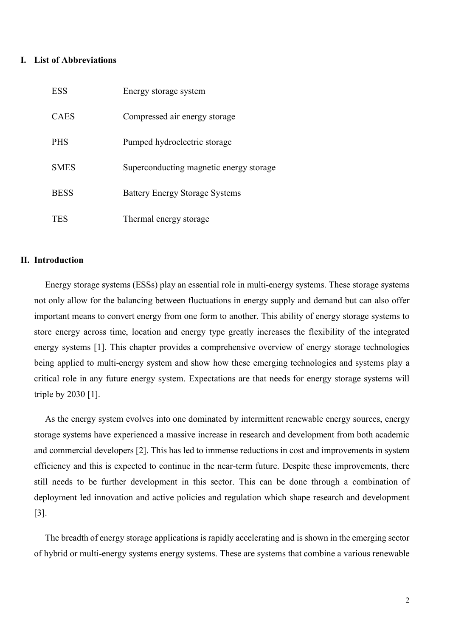# **I. List of Abbreviations**

| <b>ESS</b>  | Energy storage system                   |
|-------------|-----------------------------------------|
| <b>CAES</b> | Compressed air energy storage           |
| <b>PHS</b>  | Pumped hydroelectric storage            |
| <b>SMES</b> | Superconducting magnetic energy storage |
| <b>BESS</b> | <b>Battery Energy Storage Systems</b>   |
| <b>TES</b>  | Thermal energy storage                  |

# **II. Introduction**

Energy storage systems (ESSs) play an essential role in multi-energy systems. These storage systems not only allow for the balancing between fluctuations in energy supply and demand but can also offer important means to convert energy from one form to another. This ability of energy storage systems to store energy across time, location and energy type greatly increases the flexibility of the integrated energy systems [1]. This chapter provides a comprehensive overview of energy storage technologies being applied to multi-energy system and show how these emerging technologies and systems play a critical role in any future energy system. Expectations are that needs for energy storage systems will triple by 2030 [1].

As the energy system evolves into one dominated by intermittent renewable energy sources, energy storage systems have experienced a massive increase in research and development from both academic and commercial developers [2]. This has led to immense reductions in cost and improvements in system efficiency and this is expected to continue in the near-term future. Despite these improvements, there still needs to be further development in this sector. This can be done through a combination of deployment led innovation and active policies and regulation which shape research and development [3].

The breadth of energy storage applications is rapidly accelerating and is shown in the emerging sector of hybrid or multi-energy systems energy systems. These are systems that combine a various renewable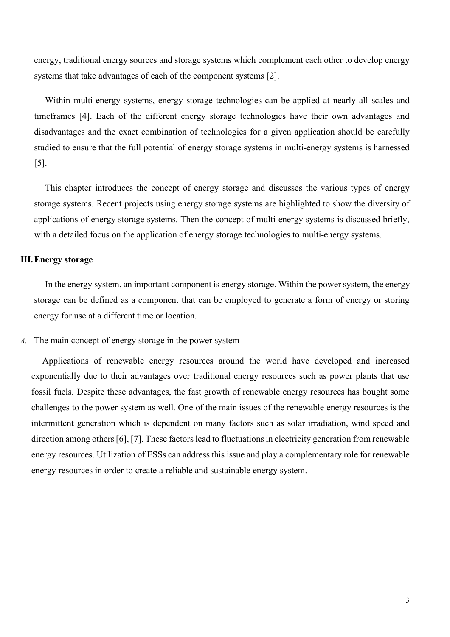energy, traditional energy sources and storage systems which complement each other to develop energy systems that take advantages of each of the component systems [2].

Within multi-energy systems, energy storage technologies can be applied at nearly all scales and timeframes [4]. Each of the different energy storage technologies have their own advantages and disadvantages and the exact combination of technologies for a given application should be carefully studied to ensure that the full potential of energy storage systems in multi-energy systems is harnessed [5].

This chapter introduces the concept of energy storage and discusses the various types of energy storage systems. Recent projects using energy storage systems are highlighted to show the diversity of applications of energy storage systems. Then the concept of multi-energy systems is discussed briefly, with a detailed focus on the application of energy storage technologies to multi-energy systems.

# **III.Energy storage**

In the energy system, an important component is energy storage. Within the power system, the energy storage can be defined as a component that can be employed to generate a form of energy or storing energy for use at a different time or location.

# *A.* The main concept of energy storage in the power system

Applications of renewable energy resources around the world have developed and increased exponentially due to their advantages over traditional energy resources such as power plants that use fossil fuels. Despite these advantages, the fast growth of renewable energy resources has bought some challenges to the power system as well. One of the main issues of the renewable energy resources is the intermittent generation which is dependent on many factors such as solar irradiation, wind speed and direction among others [6], [7]. These factors lead to fluctuations in electricity generation from renewable energy resources. Utilization of ESSs can address this issue and play a complementary role for renewable energy resources in order to create a reliable and sustainable energy system.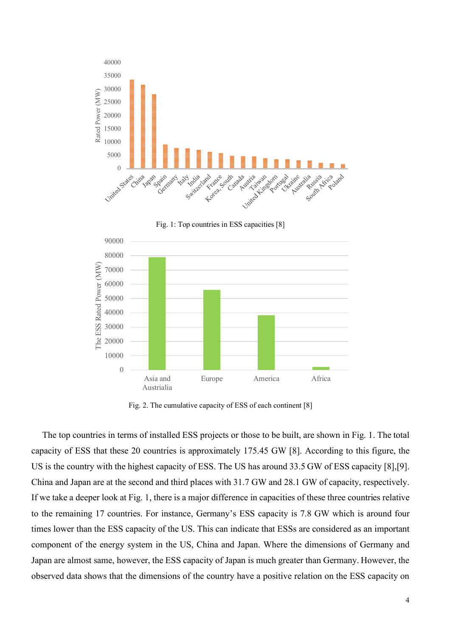

Fig. 2. The cumulative capacity of ESS of each continent [8]

The top countries in terms of installed ESS projects or those to be built, are shown in Fig. 1. The total capacity of ESS that these 20 countries is approximately 175.45 GW [8]. According to this figure, the US is the country with the highest capacity of ESS. The US has around 33.5 GW of ESS capacity [8],[9]. China and Japan are at the second and third places with 31.7 GW and 28.1 GW of capacity, respectively. If we take a deeper look at Fig. 1, there is a major difference in capacities of these three countries relative to the remaining 17 countries. For instance, Germany's ESS capacity is 7.8 GW which is around four times lower than the ESS capacity of the US. This can indicate that ESSs are considered as an important component of the energy system in the US, China and Japan. Where the dimensions of Germany and Japan are almost same, however, the ESS capacity of Japan is much greater than Germany. However, the observed data shows that the dimensions of the country have a positive relation on the ESS capacity on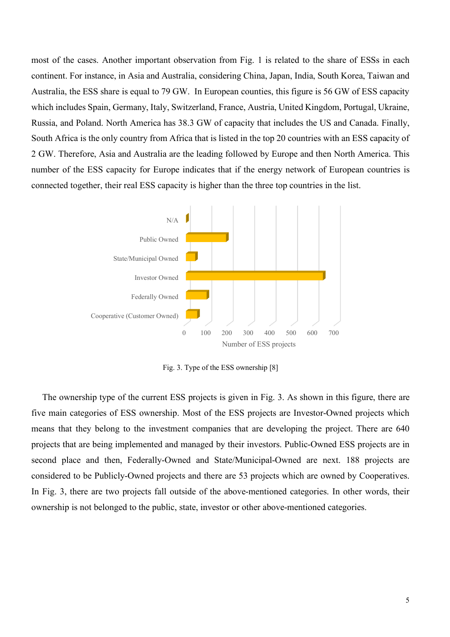most of the cases. Another important observation from Fig. 1 is related to the share of ESSs in each continent. For instance, in Asia and Australia, considering China, Japan, India, South Korea, Taiwan and Australia, the ESS share is equal to 79 GW. In European counties, this figure is 56 GW of ESS capacity which includes Spain, Germany, Italy, Switzerland, France, Austria, United Kingdom, Portugal, Ukraine, Russia, and Poland. North America has 38.3 GW of capacity that includes the US and Canada. Finally, South Africa is the only country from Africa that is listed in the top 20 countries with an ESS capacity of 2 GW. Therefore, Asia and Australia are the leading followed by Europe and then North America. This number of the ESS capacity for Europe indicates that if the energy network of European countries is connected together, their real ESS capacity is higher than the three top countries in the list.



Fig. 3. Type of the ESS ownership [8]

The ownership type of the current ESS projects is given in Fig. 3. As shown in this figure, there are five main categories of ESS ownership. Most of the ESS projects are Investor-Owned projects which means that they belong to the investment companies that are developing the project. There are 640 projects that are being implemented and managed by their investors. Public-Owned ESS projects are in second place and then, Federally-Owned and State/Municipal-Owned are next. 188 projects are considered to be Publicly-Owned projects and there are 53 projects which are owned by Cooperatives. In Fig. 3, there are two projects fall outside of the above-mentioned categories. In other words, their ownership is not belonged to the public, state, investor or other above-mentioned categories.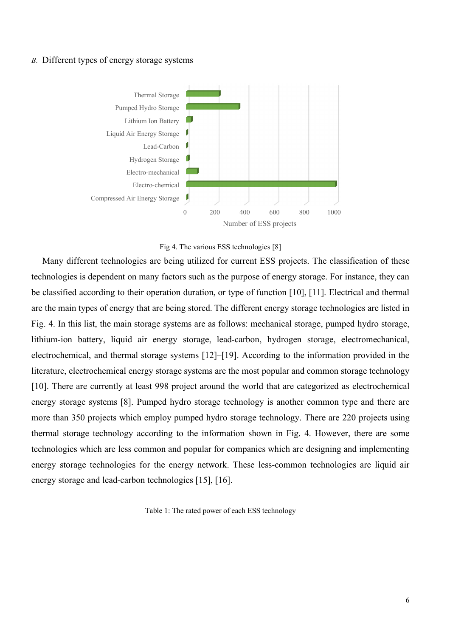## *B.* Different types of energy storage systems





Many different technologies are being utilized for current ESS projects. The classification of these technologies is dependent on many factors such as the purpose of energy storage. For instance, they can be classified according to their operation duration, or type of function [10], [11]. Electrical and thermal are the main types of energy that are being stored. The different energy storage technologies are listed in Fig. 4. In this list, the main storage systems are as follows: mechanical storage, pumped hydro storage, lithium-ion battery, liquid air energy storage, lead-carbon, hydrogen storage, electromechanical, electrochemical, and thermal storage systems [12]–[19]. According to the information provided in the literature, electrochemical energy storage systems are the most popular and common storage technology [10]. There are currently at least 998 project around the world that are categorized as electrochemical energy storage systems [8]. Pumped hydro storage technology is another common type and there are more than 350 projects which employ pumped hydro storage technology. There are 220 projects using thermal storage technology according to the information shown in Fig. 4. However, there are some technologies which are less common and popular for companies which are designing and implementing energy storage technologies for the energy network. These less-common technologies are liquid air energy storage and lead-carbon technologies [15], [16].

Table 1: The rated power of each ESS technology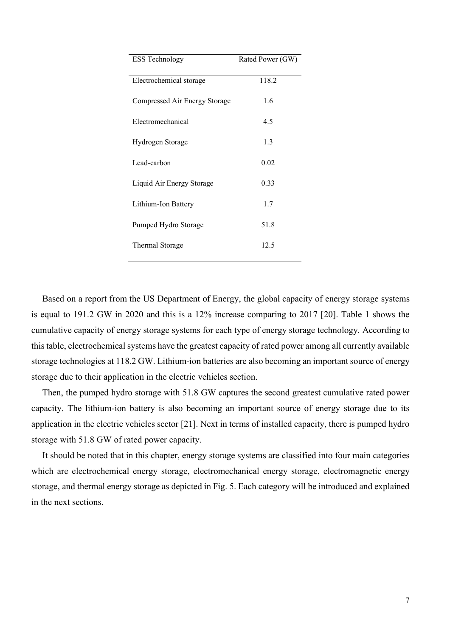| <b>ESS Technology</b>         | Rated Power (GW) |
|-------------------------------|------------------|
| Electrochemical storage       | 118.2            |
| Compressed Air Energy Storage | 1.6              |
| Electromechanical             | 4.5              |
| Hydrogen Storage              | 1.3              |
| Lead-carbon                   | 0.02             |
| Liquid Air Energy Storage     | 0.33             |
| Lithium-Ion Battery           | 1.7              |
| Pumped Hydro Storage          | 51.8             |
| Thermal Storage               | 12.5             |
|                               |                  |

Based on a report from the US Department of Energy, the global capacity of energy storage systems is equal to 191.2 GW in 2020 and this is a 12% increase comparing to 2017 [20]. Table 1 shows the cumulative capacity of energy storage systems for each type of energy storage technology. According to this table, electrochemical systems have the greatest capacity of rated power among all currently available storage technologies at 118.2 GW. Lithium-ion batteries are also becoming an important source of energy storage due to their application in the electric vehicles section.

Then, the pumped hydro storage with 51.8 GW captures the second greatest cumulative rated power capacity. The lithium-ion battery is also becoming an important source of energy storage due to its application in the electric vehicles sector [21]. Next in terms of installed capacity, there is pumped hydro storage with 51.8 GW of rated power capacity.

It should be noted that in this chapter, energy storage systems are classified into four main categories which are electrochemical energy storage, electromechanical energy storage, electromagnetic energy storage, and thermal energy storage as depicted in Fig. 5. Each category will be introduced and explained in the next sections.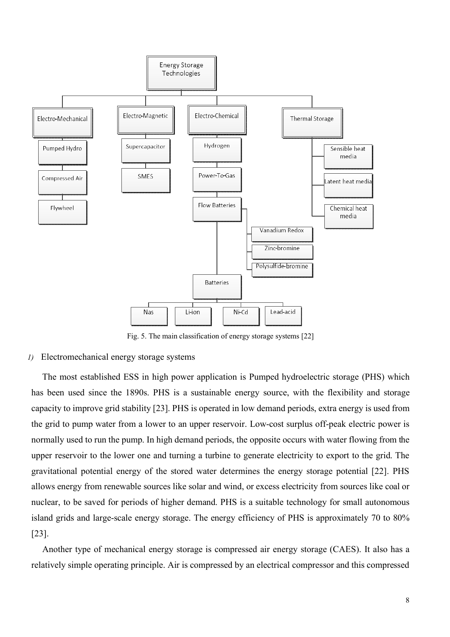

Fig. 5. The main classification of energy storage systems [22]

# *1)* Electromechanical energy storage systems

The most established ESS in high power application is Pumped hydroelectric storage (PHS) which has been used since the 1890s. PHS is a sustainable energy source, with the flexibility and storage capacity to improve grid stability [23]. PHS is operated in low demand periods, extra energy is used from the grid to pump water from a lower to an upper reservoir. Low-cost surplus off-peak electric power is normally used to run the pump. In high demand periods, the opposite occurs with water flowing from the upper reservoir to the lower one and turning a turbine to generate electricity to export to the grid. The gravitational potential energy of the stored water determines the energy storage potential [22]. PHS allows energy from renewable sources like solar and wind, or excess electricity from sources like coal or nuclear, to be saved for periods of higher demand. PHS is a suitable technology for small autonomous island grids and large-scale energy storage. The energy efficiency of PHS is approximately 70 to 80% [23].

Another type of mechanical energy storage is compressed air energy storage (CAES). It also has a relatively simple operating principle. Air is compressed by an electrical compressor and this compressed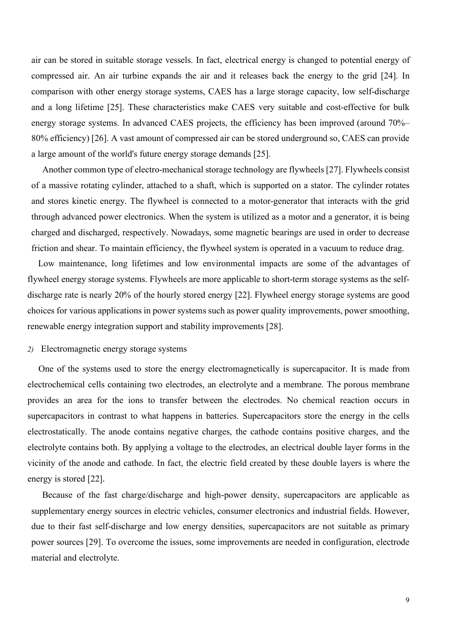air can be stored in suitable storage vessels. In fact, electrical energy is changed to potential energy of compressed air. An air turbine expands the air and it releases back the energy to the grid [24]. In comparison with other energy storage systems, CAES has a large storage capacity, low self-discharge and a long lifetime [25]. These characteristics make CAES very suitable and cost-effective for bulk energy storage systems. In advanced CAES projects, the efficiency has been improved (around 70%– 80% efficiency) [26]. A vast amount of compressed air can be stored underground so, CAES can provide a large amount of the world's future energy storage demands [25].

Another common type of electro-mechanical storage technology are flywheels [27]. Flywheels consist of a massive rotating cylinder, attached to a shaft, which is supported on a stator. The cylinder rotates and stores kinetic energy. The flywheel is connected to a motor-generator that interacts with the grid through advanced power electronics. When the system is utilized as a motor and a generator, it is being charged and discharged, respectively. Nowadays, some magnetic bearings are used in order to decrease friction and shear. To maintain efficiency, the flywheel system is operated in a vacuum to reduce drag.

Low maintenance, long lifetimes and low environmental impacts are some of the advantages of flywheel energy storage systems. Flywheels are more applicable to short-term storage systems as the selfdischarge rate is nearly 20% of the hourly stored energy [22]. Flywheel energy storage systems are good choices for various applications in power systems such as power quality improvements, power smoothing, renewable energy integration support and stability improvements [28].

#### *2)* Electromagnetic energy storage systems

One of the systems used to store the energy electromagnetically is supercapacitor. It is made from electrochemical cells containing two electrodes, an electrolyte and a membrane. The porous membrane provides an area for the ions to transfer between the electrodes. No chemical reaction occurs in supercapacitors in contrast to what happens in batteries. Supercapacitors store the energy in the cells electrostatically. The anode contains negative charges, the cathode contains positive charges, and the electrolyte contains both. By applying a voltage to the electrodes, an electrical double layer forms in the vicinity of the anode and cathode. In fact, the electric field created by these double layers is where the energy is stored [22].

Because of the fast charge/discharge and high-power density, supercapacitors are applicable as supplementary energy sources in electric vehicles, consumer electronics and industrial fields. However, due to their fast self-discharge and low energy densities, supercapacitors are not suitable as primary power sources [29]. To overcome the issues, some improvements are needed in configuration, electrode material and electrolyte.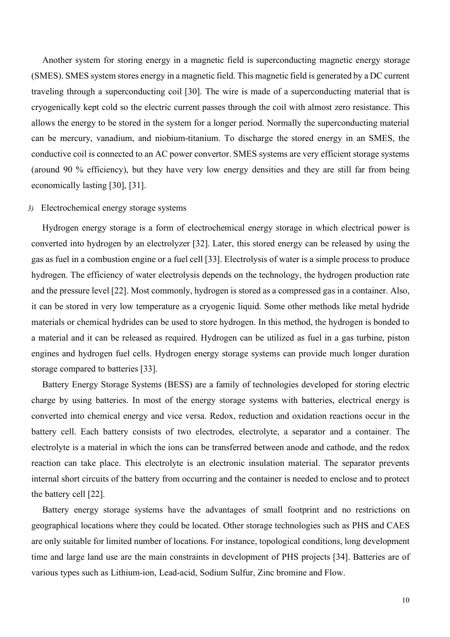Another system for storing energy in a magnetic field is superconducting magnetic energy storage (SMES). SMES system stores energy in a magnetic field. This magnetic field is generated by a DC current traveling through a superconducting coil [30]. The wire is made of a superconducting material that is cryogenically kept cold so the electric current passes through the coil with almost zero resistance. This allows the energy to be stored in the system for a longer period. Normally the superconducting material can be mercury, vanadium, and niobium-titanium. To discharge the stored energy in an SMES, the conductive coil is connected to an AC power convertor. SMES systems are very efficient storage systems (around 90 % efficiency), but they have very low energy densities and they are still far from being economically lasting [30], [31].

#### *3)* Electrochemical energy storage systems

Hydrogen energy storage is a form of electrochemical energy storage in which electrical power is converted into hydrogen by an electrolyzer [32]. Later, this stored energy can be released by using the gas as fuel in a combustion engine or a fuel cell [33]. Electrolysis of water is a simple process to produce hydrogen. The efficiency of water electrolysis depends on the technology, the hydrogen production rate and the pressure level [22]. Most commonly, hydrogen is stored as a compressed gas in a container. Also, it can be stored in very low temperature as a cryogenic liquid. Some other methods like metal hydride materials or chemical hydrides can be used to store hydrogen. In this method, the hydrogen is bonded to a material and it can be released as required. Hydrogen can be utilized as fuel in a gas turbine, piston engines and hydrogen fuel cells. Hydrogen energy storage systems can provide much longer duration storage compared to batteries [33].

Battery Energy Storage Systems (BESS) are a family of technologies developed for storing electric charge by using batteries. In most of the energy storage systems with batteries, electrical energy is converted into chemical energy and vice versa. Redox, reduction and oxidation reactions occur in the battery cell. Each battery consists of two electrodes, electrolyte, a separator and a container. The electrolyte is a material in which the ions can be transferred between anode and cathode, and the redox reaction can take place. This electrolyte is an electronic insulation material. The separator prevents internal short circuits of the battery from occurring and the container is needed to enclose and to protect the battery cell [22].

Battery energy storage systems have the advantages of small footprint and no restrictions on geographical locations where they could be located. Other storage technologies such as PHS and CAES are only suitable for limited number of locations. For instance, topological conditions, long development time and large land use are the main constraints in development of PHS projects [34]. Batteries are of various types such as Lithium-ion, Lead-acid, Sodium Sulfur, Zinc bromine and Flow.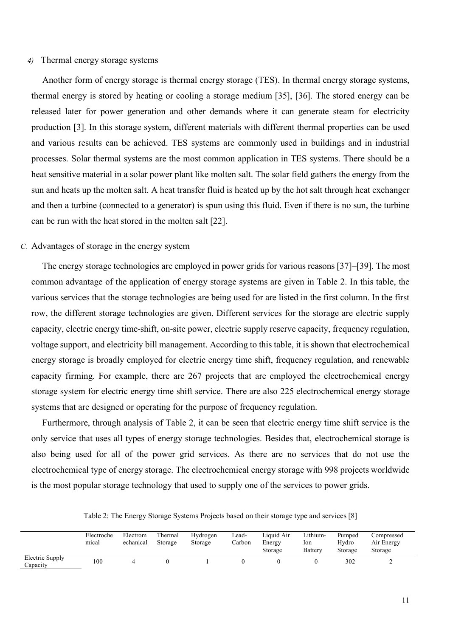#### *4)* Thermal energy storage systems

Another form of energy storage is thermal energy storage (TES). In thermal energy storage systems, thermal energy is stored by heating or cooling a storage medium [35], [36]. The stored energy can be released later for power generation and other demands where it can generate steam for electricity production [3]. In this storage system, different materials with different thermal properties can be used and various results can be achieved. TES systems are commonly used in buildings and in industrial processes. Solar thermal systems are the most common application in TES systems. There should be a heat sensitive material in a solar power plant like molten salt. The solar field gathers the energy from the sun and heats up the molten salt. A heat transfer fluid is heated up by the hot salt through heat exchanger and then a turbine (connected to a generator) is spun using this fluid. Even if there is no sun, the turbine can be run with the heat stored in the molten salt [22].

# *C.* Advantages of storage in the energy system

The energy storage technologies are employed in power grids for various reasons [37]–[39]. The most common advantage of the application of energy storage systems are given in Table 2. In this table, the various services that the storage technologies are being used for are listed in the first column. In the first row, the different storage technologies are given. Different services for the storage are electric supply capacity, electric energy time-shift, on-site power, electric supply reserve capacity, frequency regulation, voltage support, and electricity bill management. According to this table, it is shown that electrochemical energy storage is broadly employed for electric energy time shift, frequency regulation, and renewable capacity firming. For example, there are 267 projects that are employed the electrochemical energy storage system for electric energy time shift service. There are also 225 electrochemical energy storage systems that are designed or operating for the purpose of frequency regulation.

Furthermore, through analysis of Table 2, it can be seen that electric energy time shift service is the only service that uses all types of energy storage technologies. Besides that, electrochemical storage is also being used for all of the power grid services. As there are no services that do not use the electrochemical type of energy storage. The electrochemical energy storage with 998 projects worldwide is the most popular storage technology that used to supply one of the services to power grids.

|                             | Electroche | Electrom  | Thermal | Hydrogen | Lead-  | Liquid Air | Lithium- | Pumped  | Compressed |  |
|-----------------------------|------------|-----------|---------|----------|--------|------------|----------|---------|------------|--|
|                             | mical      | echanical | Storage | Storage  | Carbon | Energy     | lon      | Hydro   | Air Energy |  |
|                             |            |           |         |          |        | Storage    | Battery  | Storage | Storage    |  |
| Electric Supply<br>Capacity | 100        |           |         |          |        |            |          | 302     | ∼          |  |

Table 2: The Energy Storage Systems Projects based on their storage type and services [8]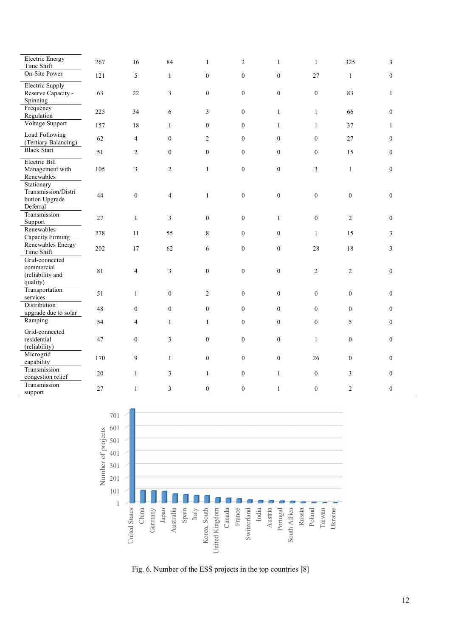| Electric Energy<br>Time Shift                                   | 267 | 16               | 84               | 1              | $\overline{2}$   | $\mathbf{1}$     | $\mathbf{1}$     | 325              | 3              |
|-----------------------------------------------------------------|-----|------------------|------------------|----------------|------------------|------------------|------------------|------------------|----------------|
| On-Site Power                                                   | 121 | 5                | $\mathbf{1}$     | $\mathbf{0}$   | $\boldsymbol{0}$ | $\boldsymbol{0}$ | 27               | $\mathbf{1}$     | $\mathbf{0}$   |
| Electric Supply<br>Reserve Capacity -<br>Spinning               | 63  | 22               | 3                | $\overline{0}$ | $\overline{0}$   | $\boldsymbol{0}$ | $\boldsymbol{0}$ | 83               | $\mathbf{1}$   |
| Frequency<br>Regulation                                         | 225 | 34               | 6                | 3              | $\boldsymbol{0}$ | $\mathbf{1}$     | $\mathbf{1}$     | 66               | $\mathbf{0}$   |
| Voltage Support                                                 | 157 | $1\,8$           | $\mathbf{1}$     | $\overline{0}$ | $\overline{0}$   | $\mathbf{1}$     | $\mathbf{1}$     | 37               | $\mathbf{1}$   |
| Load Following<br>(Tertiary Balancing)                          | 62  | $\overline{4}$   | $\mathbf{0}$     | $\overline{2}$ | $\overline{0}$   | $\mathbf{0}$     | $\mathbf{0}$     | 27               | $\Omega$       |
| <b>Black Start</b>                                              | 51  | $\overline{c}$   | $\mathbf{0}$     | $\theta$       | $\overline{0}$   | $\mathbf{0}$     | $\mathbf{0}$     | 15               | $\theta$       |
| Electric Bill<br>Management with<br>Renewables                  | 105 | $\overline{3}$   | $\overline{c}$   | $\mathbf{1}$   | $\boldsymbol{0}$ | $\boldsymbol{0}$ | $\mathfrak{Z}$   | $\mathbf{1}$     | $\overline{0}$ |
| Stationary<br>Transmission/Distri<br>bution Upgrade<br>Deferral | 44  | $\boldsymbol{0}$ | $\overline{4}$   | $\mathbf{1}$   | $\overline{0}$   | $\boldsymbol{0}$ | $\boldsymbol{0}$ | $\boldsymbol{0}$ | $\mathbf{0}$   |
| Transmission<br>Support                                         | 27  | $\,1$            | $\overline{3}$   | $\overline{0}$ | $\overline{0}$   | $\mathbf{1}$     | $\boldsymbol{0}$ | $\overline{2}$   | $\theta$       |
| Renewables<br>Capacity Firming                                  | 278 | 11               | 55               | 8              | $\mathbf{0}$     | $\mathbf{0}$     | $\mathbf{1}$     | 15               | 3              |
| Renewables Energy<br>Time Shift                                 | 202 | 17               | 62               | 6              | $\mathbf{0}$     | $\boldsymbol{0}$ | 28               | 18               | 3              |
| Grid-connected<br>commercial<br>(reliability and<br>quality)    | 81  | $\overline{4}$   | $\overline{3}$   | $\mathbf{0}$   | $\overline{0}$   | $\overline{0}$   | $\overline{2}$   | $\overline{2}$   | $\mathbf{0}$   |
| Transportation<br>services                                      | 51  | $\mathbf{1}$     | $\boldsymbol{0}$ | $\overline{2}$ | $\boldsymbol{0}$ | $\boldsymbol{0}$ | $\boldsymbol{0}$ | $\boldsymbol{0}$ | $\Omega$       |
| Distribution<br>upgrade due to solar                            | 48  | $\overline{0}$   | $\boldsymbol{0}$ | $\overline{0}$ | $\mathbf{0}$     | $\boldsymbol{0}$ | $\boldsymbol{0}$ | $\boldsymbol{0}$ | $\mathbf{0}$   |
| Ramping                                                         | 54  | 4                | $\mathbf{1}$     | $\mathbf{1}$   | $\overline{0}$   | $\overline{0}$   | $\mathbf{0}$     | 5                | $\theta$       |
| Grid-connected<br>residential<br>(reliability)                  | 47  | $\boldsymbol{0}$ | 3                | $\overline{0}$ | $\overline{0}$   | $\boldsymbol{0}$ | $\mathbf{1}$     | $\overline{0}$   | $\theta$       |
| Microgrid<br>capability                                         | 170 | 9                | $\mathbf{1}$     | $\overline{0}$ | $\mathbf{0}$     | $\boldsymbol{0}$ | 26               | $\boldsymbol{0}$ | $\Omega$       |
| Transmission<br>congestion relief                               | 20  | $\mathbf{1}$     | 3                | $\mathbf{1}$   | $\boldsymbol{0}$ | $\mathbf{1}$     | $\boldsymbol{0}$ | $\overline{3}$   | $\mathbf{0}$   |
| Transmission<br>support                                         | 27  | $\mathbf{1}$     | 3                | $\mathbf{0}$   | $\overline{0}$   | $\mathbf{1}$     | $\mathbf{0}$     | $\overline{2}$   | $\overline{0}$ |



Fig. 6. Number of the ESS projects in the top countries [8]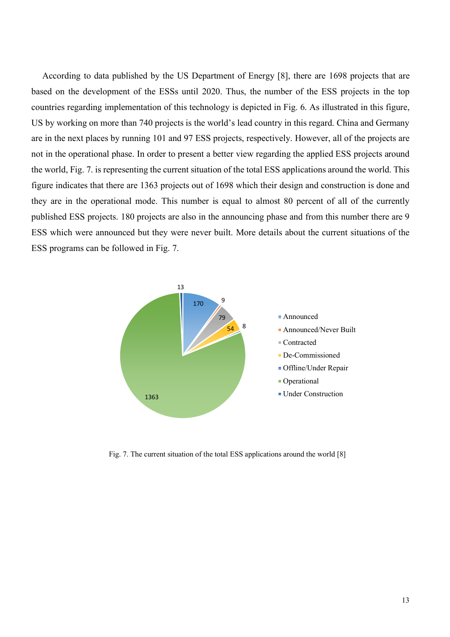According to data published by the US Department of Energy [8], there are 1698 projects that are based on the development of the ESSs until 2020. Thus, the number of the ESS projects in the top countries regarding implementation of this technology is depicted in Fig. 6. As illustrated in this figure, US by working on more than 740 projects is the world's lead country in this regard. China and Germany are in the next places by running 101 and 97 ESS projects, respectively. However, all of the projects are not in the operational phase. In order to present a better view regarding the applied ESS projects around the world, Fig. 7. is representing the current situation of the total ESS applications around the world. This figure indicates that there are 1363 projects out of 1698 which their design and construction is done and they are in the operational mode. This number is equal to almost 80 percent of all of the currently published ESS projects. 180 projects are also in the announcing phase and from this number there are 9 ESS which were announced but they were never built. More details about the current situations of the ESS programs can be followed in Fig. 7.



Fig. 7. The current situation of the total ESS applications around the world [8]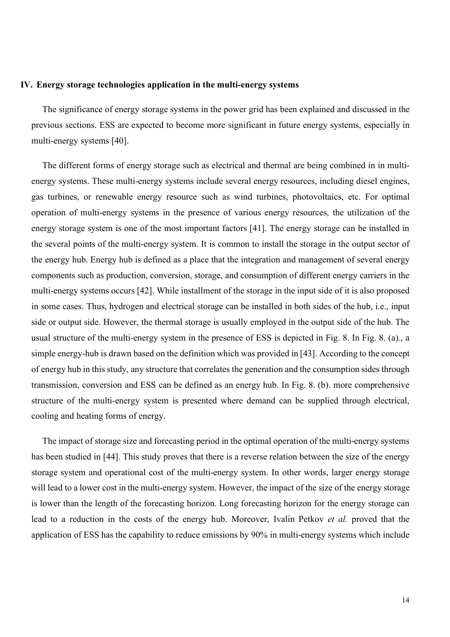#### **IV. Energy storage technologies application in the multi-energy systems**

The significance of energy storage systems in the power grid has been explained and discussed in the previous sections. ESS are expected to become more significant in future energy systems, especially in multi-energy systems [40].

The different forms of energy storage such as electrical and thermal are being combined in in multienergy systems. These multi-energy systems include several energy resources, including diesel engines, gas turbines, or renewable energy resource such as wind turbines, photovoltaics, etc. For optimal operation of multi-energy systems in the presence of various energy resources, the utilization of the energy storage system is one of the most important factors [41]. The energy storage can be installed in the several points of the multi-energy system. It is common to install the storage in the output sector of the energy hub. Energy hub is defined as a place that the integration and management of several energy components such as production, conversion, storage, and consumption of different energy carriers in the multi-energy systems occurs [42]. While installment of the storage in the input side of it is also proposed in some cases. Thus, hydrogen and electrical storage can be installed in both sides of the hub, i.e., input side or output side. However, the thermal storage is usually employed in the output side of the hub. The usual structure of the multi-energy system in the presence of ESS is depicted in Fig. 8. In Fig. 8. (a)., a simple energy-hub is drawn based on the definition which was provided in [43]. According to the concept of energy hub in this study, any structure that correlates the generation and the consumption sides through transmission, conversion and ESS can be defined as an energy hub. In Fig. 8. (b). more comprehensive structure of the multi-energy system is presented where demand can be supplied through electrical, cooling and heating forms of energy.

The impact of storage size and forecasting period in the optimal operation of the multi-energy systems has been studied in [44]. This study proves that there is a reverse relation between the size of the energy storage system and operational cost of the multi-energy system. In other words, larger energy storage will lead to a lower cost in the multi-energy system. However, the impact of the size of the energy storage is lower than the length of the forecasting horizon. Long forecasting horizon for the energy storage can lead to a reduction in the costs of the energy hub. Moreover, Ivalin Petkov *et al.* proved that the application of ESS has the capability to reduce emissions by 90% in multi-energy systems which include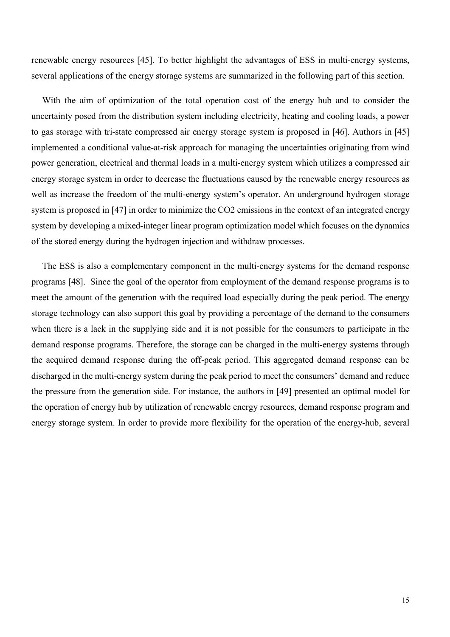renewable energy resources [45]. To better highlight the advantages of ESS in multi-energy systems, several applications of the energy storage systems are summarized in the following part of this section.

With the aim of optimization of the total operation cost of the energy hub and to consider the uncertainty posed from the distribution system including electricity, heating and cooling loads, a power to gas storage with tri-state compressed air energy storage system is proposed in [46]. Authors in [45] implemented a conditional value-at-risk approach for managing the uncertainties originating from wind power generation, electrical and thermal loads in a multi-energy system which utilizes a compressed air energy storage system in order to decrease the fluctuations caused by the renewable energy resources as well as increase the freedom of the multi-energy system's operator. An underground hydrogen storage system is proposed in [47] in order to minimize the CO2 emissions in the context of an integrated energy system by developing a mixed-integer linear program optimization model which focuses on the dynamics of the stored energy during the hydrogen injection and withdraw processes.

The ESS is also a complementary component in the multi-energy systems for the demand response programs [48]. Since the goal of the operator from employment of the demand response programs is to meet the amount of the generation with the required load especially during the peak period. The energy storage technology can also support this goal by providing a percentage of the demand to the consumers when there is a lack in the supplying side and it is not possible for the consumers to participate in the demand response programs. Therefore, the storage can be charged in the multi-energy systems through the acquired demand response during the off-peak period. This aggregated demand response can be discharged in the multi-energy system during the peak period to meet the consumers' demand and reduce the pressure from the generation side. For instance, the authors in [49] presented an optimal model for the operation of energy hub by utilization of renewable energy resources, demand response program and energy storage system. In order to provide more flexibility for the operation of the energy-hub, several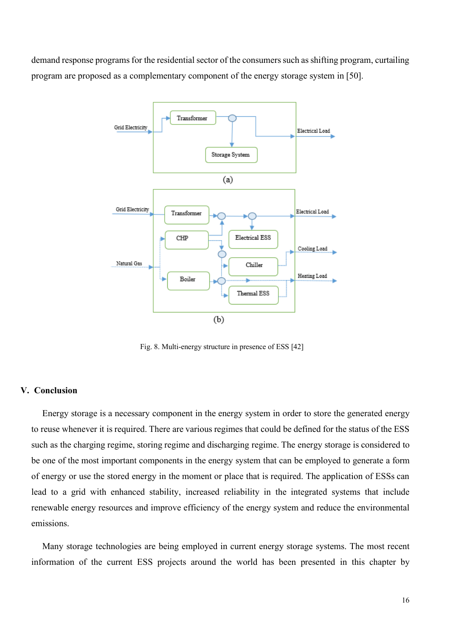demand response programs for the residential sector of the consumers such as shifting program, curtailing program are proposed as a complementary component of the energy storage system in [50].



Fig. 8. Multi-energy structure in presence of ESS [42]

# **V. Conclusion**

Energy storage is a necessary component in the energy system in order to store the generated energy to reuse whenever it is required. There are various regimes that could be defined for the status of the ESS such as the charging regime, storing regime and discharging regime. The energy storage is considered to be one of the most important components in the energy system that can be employed to generate a form of energy or use the stored energy in the moment or place that is required. The application of ESSs can lead to a grid with enhanced stability, increased reliability in the integrated systems that include renewable energy resources and improve efficiency of the energy system and reduce the environmental emissions.

Many storage technologies are being employed in current energy storage systems. The most recent information of the current ESS projects around the world has been presented in this chapter by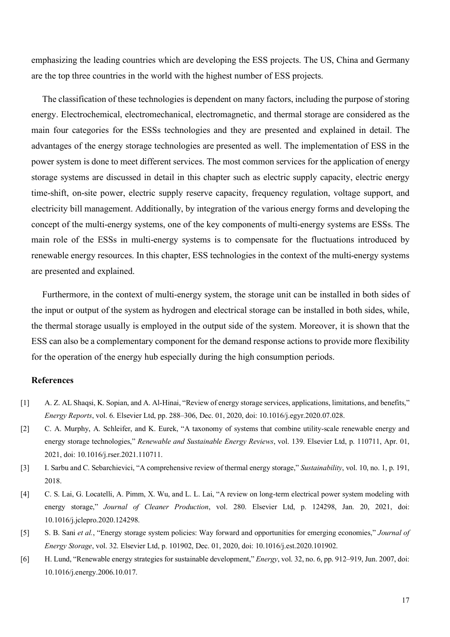emphasizing the leading countries which are developing the ESS projects. The US, China and Germany are the top three countries in the world with the highest number of ESS projects.

The classification of these technologies is dependent on many factors, including the purpose of storing energy. Electrochemical, electromechanical, electromagnetic, and thermal storage are considered as the main four categories for the ESSs technologies and they are presented and explained in detail. The advantages of the energy storage technologies are presented as well. The implementation of ESS in the power system is done to meet different services. The most common services for the application of energy storage systems are discussed in detail in this chapter such as electric supply capacity, electric energy time-shift, on-site power, electric supply reserve capacity, frequency regulation, voltage support, and electricity bill management. Additionally, by integration of the various energy forms and developing the concept of the multi-energy systems, one of the key components of multi-energy systems are ESSs. The main role of the ESSs in multi-energy systems is to compensate for the fluctuations introduced by renewable energy resources. In this chapter, ESS technologies in the context of the multi-energy systems are presented and explained.

Furthermore, in the context of multi-energy system, the storage unit can be installed in both sides of the input or output of the system as hydrogen and electrical storage can be installed in both sides, while, the thermal storage usually is employed in the output side of the system. Moreover, it is shown that the ESS can also be a complementary component for the demand response actions to provide more flexibility for the operation of the energy hub especially during the high consumption periods.

#### **References**

- [1] A. Z. AL Shaqsi, K. Sopian, and A. Al-Hinai, "Review of energy storage services, applications, limitations, and benefits," *Energy Reports*, vol. 6. Elsevier Ltd, pp. 288–306, Dec. 01, 2020, doi: 10.1016/j.egyr.2020.07.028.
- [2] C. A. Murphy, A. Schleifer, and K. Eurek, "A taxonomy of systems that combine utility-scale renewable energy and energy storage technologies," *Renewable and Sustainable Energy Reviews*, vol. 139. Elsevier Ltd, p. 110711, Apr. 01, 2021, doi: 10.1016/j.rser.2021.110711.
- [3] I. Sarbu and C. Sebarchievici, "A comprehensive review of thermal energy storage," *Sustainability*, vol. 10, no. 1, p. 191, 2018.
- [4] C. S. Lai, G. Locatelli, A. Pimm, X. Wu, and L. L. Lai, "A review on long-term electrical power system modeling with energy storage," *Journal of Cleaner Production*, vol. 280. Elsevier Ltd, p. 124298, Jan. 20, 2021, doi: 10.1016/j.jclepro.2020.124298.
- [5] S. B. Sani *et al.*, "Energy storage system policies: Way forward and opportunities for emerging economies," *Journal of Energy Storage*, vol. 32. Elsevier Ltd, p. 101902, Dec. 01, 2020, doi: 10.1016/j.est.2020.101902.
- [6] H. Lund, "Renewable energy strategies for sustainable development," *Energy*, vol. 32, no. 6, pp. 912–919, Jun. 2007, doi: 10.1016/j.energy.2006.10.017.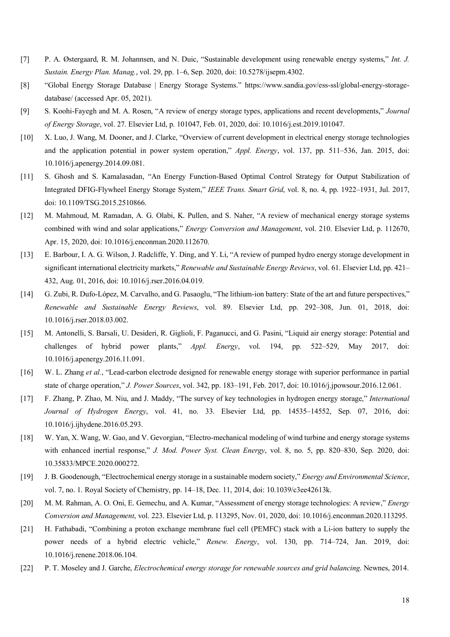- [7] P. A. Østergaard, R. M. Johannsen, and N. Duic, "Sustainable development using renewable energy systems," *Int. J. Sustain. Energy Plan. Manag.*, vol. 29, pp. 1–6, Sep. 2020, doi: 10.5278/ijsepm.4302.
- [8] "Global Energy Storage Database | Energy Storage Systems." [https://www.sandia.gov/ess-ssl/global-energy-storage](https://www.sandia.gov/ess-ssl/global-energy-storage-)database/ (accessed Apr. 05, 2021).
- [9] S. Koohi-Fayegh and M. A. Rosen, "A review of energy storage types, applications and recent developments," *Journal of Energy Storage*, vol. 27. Elsevier Ltd, p. 101047, Feb. 01, 2020, doi: 10.1016/j.est.2019.101047.
- [10] X. Luo, J. Wang, M. Dooner, and J. Clarke, "Overview of current development in electrical energy storage technologies and the application potential in power system operation," *Appl. Energy*, vol. 137, pp. 511–536, Jan. 2015, doi: 10.1016/j.apenergy.2014.09.081.
- [11] S. Ghosh and S. Kamalasadan, "An Energy Function-Based Optimal Control Strategy for Output Stabilization of Integrated DFIG-Flywheel Energy Storage System," *IEEE Trans. Smart Grid*, vol. 8, no. 4, pp. 1922–1931, Jul. 2017, doi: 10.1109/TSG.2015.2510866.
- [12] M. Mahmoud, M. Ramadan, A. G. Olabi, K. Pullen, and S. Naher, "A review of mechanical energy storage systems combined with wind and solar applications," *Energy Conversion and Management*, vol. 210. Elsevier Ltd, p. 112670, Apr. 15, 2020, doi: 10.1016/j.enconman.2020.112670.
- [13] E. Barbour, I. A. G. Wilson, J. Radcliffe, Y. Ding, and Y. Li, "A review of pumped hydro energy storage development in significant international electricity markets," *Renewable and Sustainable Energy Reviews*, vol. 61. Elsevier Ltd, pp. 421– 432, Aug. 01, 2016, doi: 10.1016/j.rser.2016.04.019.
- [14] G. Zubi, R. Dufo-López, M. Carvalho, and G. Pasaoglu, "The lithium-ion battery: State of the art and future perspectives," *Renewable and Sustainable Energy Reviews*, vol. 89. Elsevier Ltd, pp. 292–308, Jun. 01, 2018, doi: 10.1016/j.rser.2018.03.002.
- [15] M. Antonelli, S. Barsali, U. Desideri, R. Giglioli, F. Paganucci, and G. Pasini, "Liquid air energy storage: Potential and challenges of hybrid power plants," *Appl. Energy*, vol. 194, pp. 522–529, May 2017, doi: 10.1016/j.apenergy.2016.11.091.
- [16] W. L. Zhang *et al.*, "Lead-carbon electrode designed for renewable energy storage with superior performance in partial state of charge operation," *J. Power Sources*, vol. 342, pp. 183–191, Feb. 2017, doi: 10.1016/j.jpowsour.2016.12.061.
- [17] F. Zhang, P. Zhao, M. Niu, and J. Maddy, "The survey of key technologies in hydrogen energy storage," *International Journal of Hydrogen Energy*, vol. 41, no. 33. Elsevier Ltd, pp. 14535–14552, Sep. 07, 2016, doi: 10.1016/j.ijhydene.2016.05.293.
- [18] W. Yan, X. Wang, W. Gao, and V. Gevorgian, "Electro-mechanical modeling of wind turbine and energy storage systems with enhanced inertial response," *J. Mod. Power Syst. Clean Energy*, vol. 8, no. 5, pp. 820–830, Sep. 2020, doi: 10.35833/MPCE.2020.000272.
- [19] J. B. Goodenough, "Electrochemical energy storage in a sustainable modern society," *Energy and Environmental Science*, vol. 7, no. 1. Royal Society of Chemistry, pp. 14–18, Dec. 11, 2014, doi: 10.1039/c3ee42613k.
- [20] M. M. Rahman, A. O. Oni, E. Gemechu, and A. Kumar, "Assessment of energy storage technologies: A review," *Energy Conversion and Management*, vol. 223. Elsevier Ltd, p. 113295, Nov. 01, 2020, doi: 10.1016/j.enconman.2020.113295.
- [21] H. Fathabadi, "Combining a proton exchange membrane fuel cell (PEMFC) stack with a Li-ion battery to supply the power needs of a hybrid electric vehicle," *Renew. Energy*, vol. 130, pp. 714–724, Jan. 2019, doi: 10.1016/j.renene.2018.06.104.
- [22] P. T. Moseley and J. Garche, *Electrochemical energy storage for renewable sources and grid balancing*. Newnes, 2014.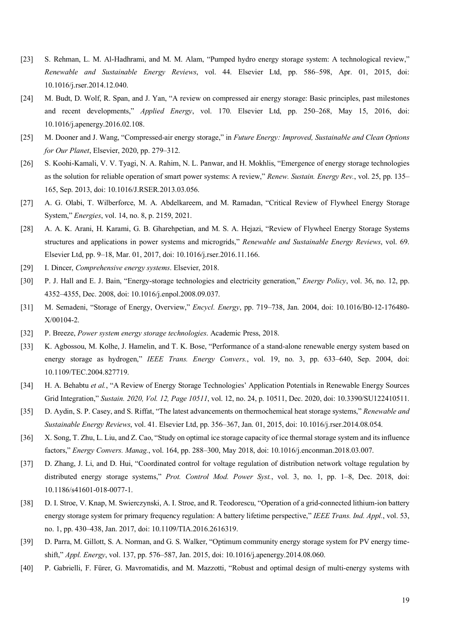- [23] S. Rehman, L. M. Al-Hadhrami, and M. M. Alam, "Pumped hydro energy storage system: A technological review," *Renewable and Sustainable Energy Reviews*, vol. 44. Elsevier Ltd, pp. 586–598, Apr. 01, 2015, doi: 10.1016/j.rser.2014.12.040.
- [24] M. Budt, D. Wolf, R. Span, and J. Yan, "A review on compressed air energy storage: Basic principles, past milestones and recent developments," *Applied Energy*, vol. 170. Elsevier Ltd, pp. 250–268, May 15, 2016, doi: 10.1016/j.apenergy.2016.02.108.
- [25] M. Dooner and J. Wang, "Compressed-air energy storage," in *Future Energy: Improved, Sustainable and Clean Options for Our Planet*, Elsevier, 2020, pp. 279–312.
- [26] S. Koohi-Kamali, V. V. Tyagi, N. A. Rahim, N. L. Panwar, and H. Mokhlis, "Emergence of energy storage technologies as the solution for reliable operation of smart power systems: A review," *Renew. Sustain. Energy Rev.*, vol. 25, pp. 135– 165, Sep. 2013, doi: 10.1016/J.RSER.2013.03.056.
- [27] A. G. Olabi, T. Wilberforce, M. A. Abdelkareem, and M. Ramadan, "Critical Review of Flywheel Energy Storage System," *Energies*, vol. 14, no. 8, p. 2159, 2021.
- [28] A. A. K. Arani, H. Karami, G. B. Gharehpetian, and M. S. A. Hejazi, "Review of Flywheel Energy Storage Systems structures and applications in power systems and microgrids," *Renewable and Sustainable Energy Reviews*, vol. 69. Elsevier Ltd, pp. 9–18, Mar. 01, 2017, doi: 10.1016/j.rser.2016.11.166.
- [29] I. Dincer, *Comprehensive energy systems*. Elsevier, 2018.
- [30] P. J. Hall and E. J. Bain, "Energy-storage technologies and electricity generation," *Energy Policy*, vol. 36, no. 12, pp. 4352–4355, Dec. 2008, doi: 10.1016/j.enpol.2008.09.037.
- [31] M. Semadeni, "Storage of Energy, Overview," *Encycl. Energy*, pp. 719–738, Jan. 2004, doi: 10.1016/B0-12-176480- X/00104-2.
- [32] P. Breeze, *Power system energy storage technologies*. Academic Press, 2018.
- [33] K. Agbossou, M. Kolhe, J. Hamelin, and T. K. Bose, "Performance of a stand-alone renewable energy system based on energy storage as hydrogen," *IEEE Trans. Energy Convers.*, vol. 19, no. 3, pp. 633–640, Sep. 2004, doi: 10.1109/TEC.2004.827719.
- [34] H. A. Behabtu *et al.*, "A Review of Energy Storage Technologies' Application Potentials in Renewable Energy Sources Grid Integration," *Sustain. 2020, Vol. 12, Page 10511*, vol. 12, no. 24, p. 10511, Dec. 2020, doi: 10.3390/SU122410511.
- [35] D. Aydin, S. P. Casey, and S. Riffat, "The latest advancements on thermochemical heat storage systems," *Renewable and Sustainable Energy Reviews*, vol. 41. Elsevier Ltd, pp. 356–367, Jan. 01, 2015, doi: 10.1016/j.rser.2014.08.054.
- [36] X. Song, T. Zhu, L. Liu, and Z. Cao, "Study on optimal ice storage capacity of ice thermal storage system and its influence factors," *Energy Convers. Manag.*, vol. 164, pp. 288–300, May 2018, doi: 10.1016/j.enconman.2018.03.007.
- [37] D. Zhang, J. Li, and D. Hui, "Coordinated control for voltage regulation of distribution network voltage regulation by distributed energy storage systems," *Prot. Control Mod. Power Syst.*, vol. 3, no. 1, pp. 1–8, Dec. 2018, doi: 10.1186/s41601-018-0077-1.
- [38] D. I. Stroe, V. Knap, M. Swierczynski, A. I. Stroe, and R. Teodorescu, "Operation of a grid-connected lithium-ion battery energy storage system for primary frequency regulation: A battery lifetime perspective," *IEEE Trans. Ind. Appl.*, vol. 53, no. 1, pp. 430–438, Jan. 2017, doi: 10.1109/TIA.2016.2616319.
- [39] D. Parra, M. Gillott, S. A. Norman, and G. S. Walker, "Optimum community energy storage system for PV energy timeshift," *Appl. Energy*, vol. 137, pp. 576–587, Jan. 2015, doi: 10.1016/j.apenergy.2014.08.060.
- [40] P. Gabrielli, F. Fürer, G. Mavromatidis, and M. Mazzotti, "Robust and optimal design of multi-energy systems with